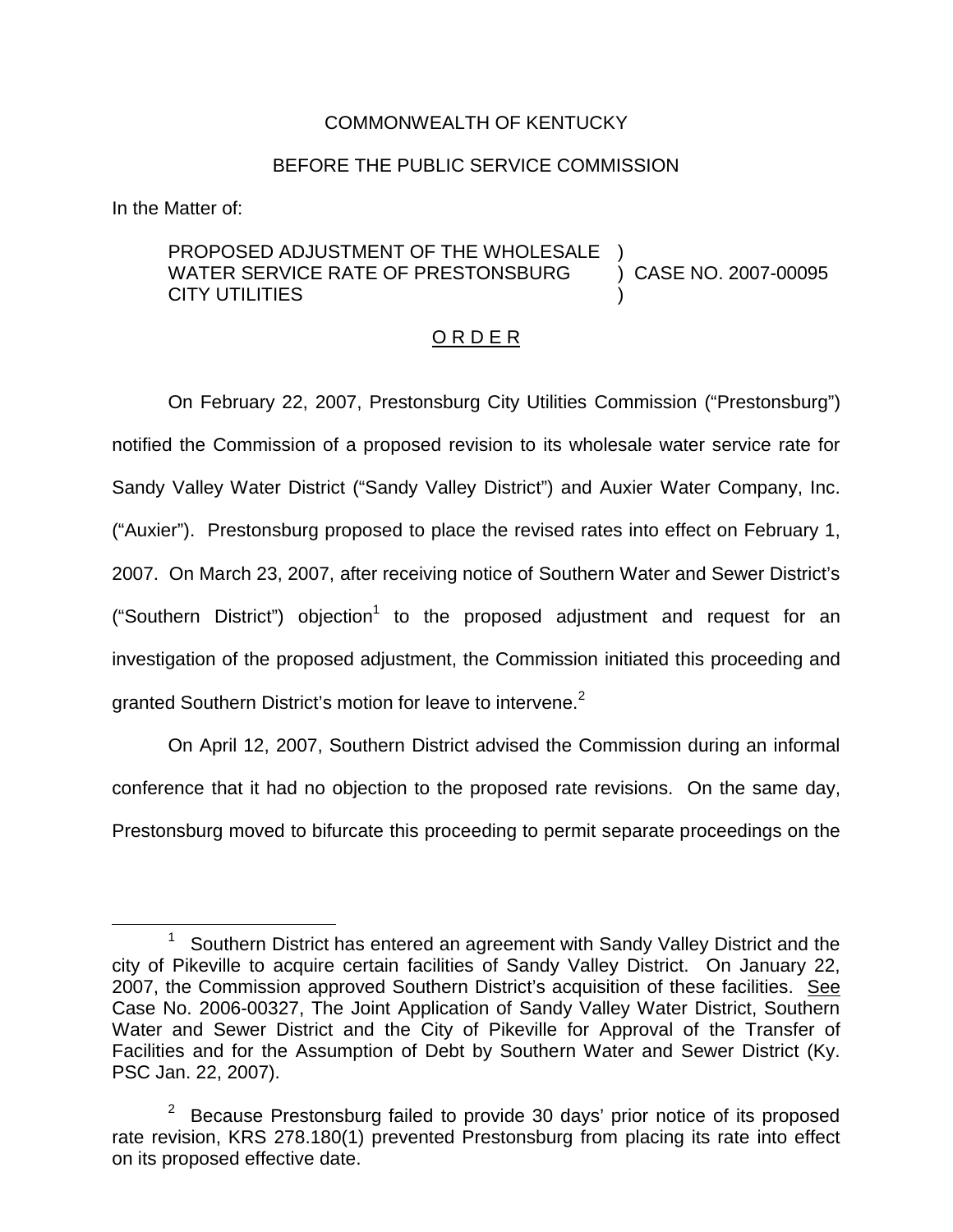### COMMONWEALTH OF KENTUCKY

#### BEFORE THE PUBLIC SERVICE COMMISSION

In the Matter of:

#### PROPOSED ADJUSTMENT OF THE WHOLESALE WATER SERVICE RATE OF PRESTONSBURG CITY UTILITIES ) ) CASE NO. 2007-00095 )

#### O R D E R

On February 22, 2007, Prestonsburg City Utilities Commission ("Prestonsburg") notified the Commission of a proposed revision to its wholesale water service rate for Sandy Valley Water District ("Sandy Valley District") and Auxier Water Company, Inc. ("Auxier"). Prestonsburg proposed to place the revised rates into effect on February 1, 2007. On March 23, 2007, after receiving notice of Southern Water and Sewer District's ("Southern District") objection<sup>1</sup> to the proposed adjustment and request for an investigation of the proposed adjustment, the Commission initiated this proceeding and granted Southern District's motion for leave to intervene.<sup>2</sup>

On April 12, 2007, Southern District advised the Commission during an informal conference that it had no objection to the proposed rate revisions. On the same day, Prestonsburg moved to bifurcate this proceeding to permit separate proceedings on the

 $1$  Southern District has entered an agreement with Sandy Valley District and the city of Pikeville to acquire certain facilities of Sandy Valley District. On January 22, 2007, the Commission approved Southern District's acquisition of these facilities. See Case No. 2006-00327, The Joint Application of Sandy Valley Water District, Southern Water and Sewer District and the City of Pikeville for Approval of the Transfer of Facilities and for the Assumption of Debt by Southern Water and Sewer District (Ky. PSC Jan. 22, 2007).

 $2$  Because Prestonsburg failed to provide 30 days' prior notice of its proposed rate revision, KRS 278.180(1) prevented Prestonsburg from placing its rate into effect on its proposed effective date.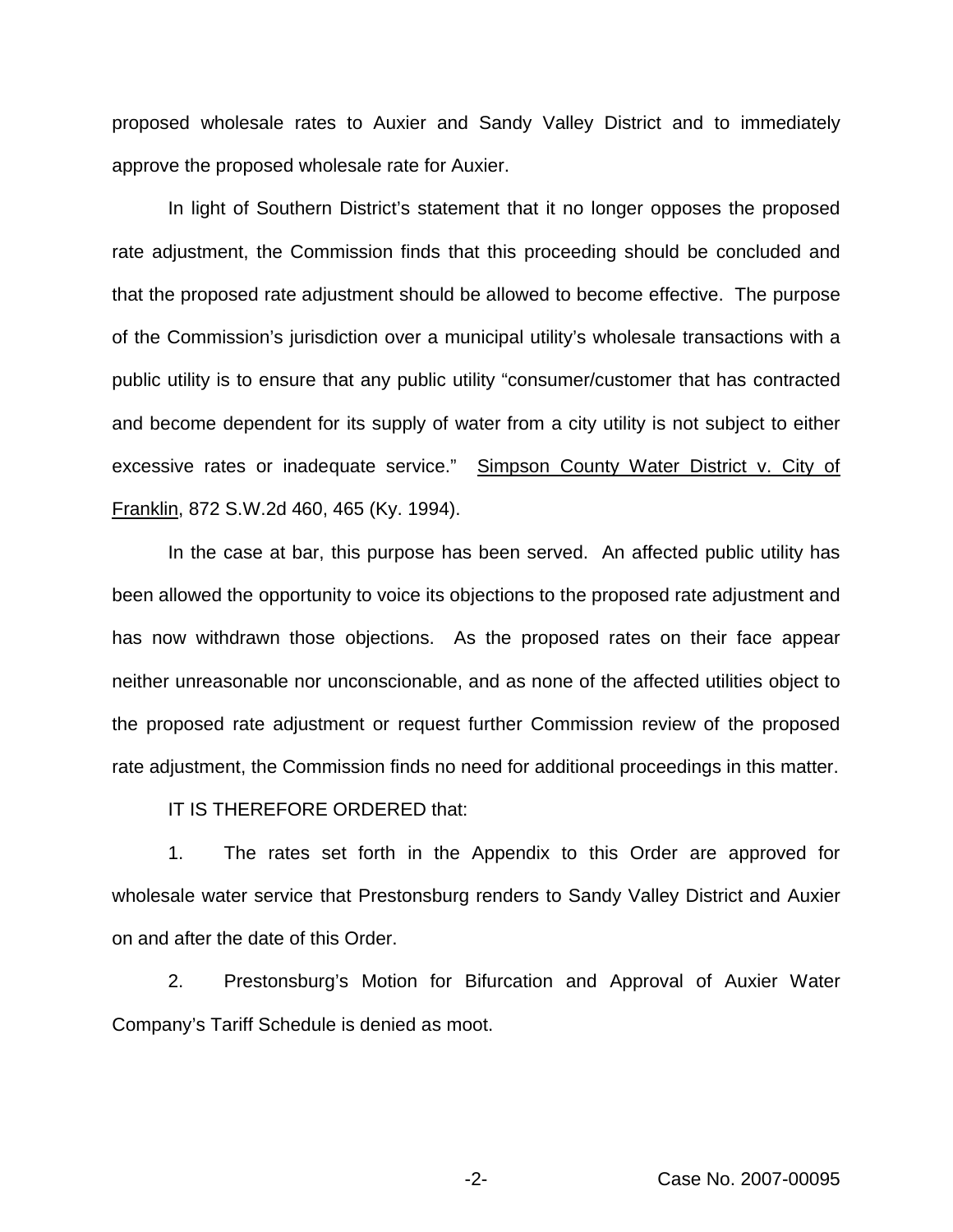proposed wholesale rates to Auxier and Sandy Valley District and to immediately approve the proposed wholesale rate for Auxier.

In light of Southern District's statement that it no longer opposes the proposed rate adjustment, the Commission finds that this proceeding should be concluded and that the proposed rate adjustment should be allowed to become effective. The purpose of the Commission's jurisdiction over a municipal utility's wholesale transactions with a public utility is to ensure that any public utility "consumer/customer that has contracted and become dependent for its supply of water from a city utility is not subject to either excessive rates or inadequate service." Simpson County Water District v. City of Franklin, 872 S.W.2d 460, 465 (Ky. 1994).

In the case at bar, this purpose has been served. An affected public utility has been allowed the opportunity to voice its objections to the proposed rate adjustment and has now withdrawn those objections. As the proposed rates on their face appear neither unreasonable nor unconscionable, and as none of the affected utilities object to the proposed rate adjustment or request further Commission review of the proposed rate adjustment, the Commission finds no need for additional proceedings in this matter.

IT IS THEREFORE ORDERED that:

1. The rates set forth in the Appendix to this Order are approved for wholesale water service that Prestonsburg renders to Sandy Valley District and Auxier on and after the date of this Order.

2. Prestonsburg's Motion for Bifurcation and Approval of Auxier Water Company's Tariff Schedule is denied as moot.

-2- Case No. 2007-00095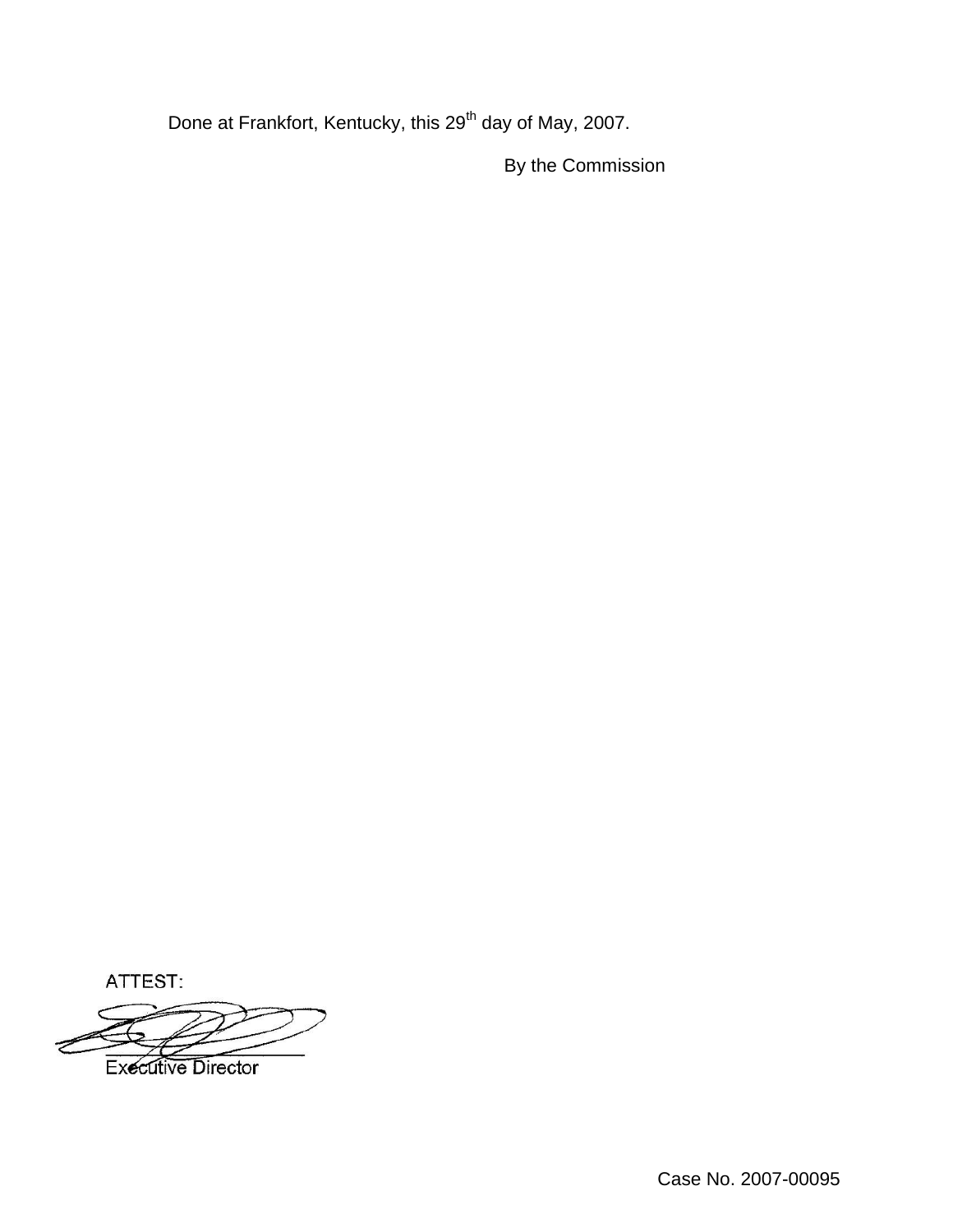Done at Frankfort, Kentucky, this 29<sup>th</sup> day of May, 2007.

By the Commission

ATTEST:

**Executive Director**